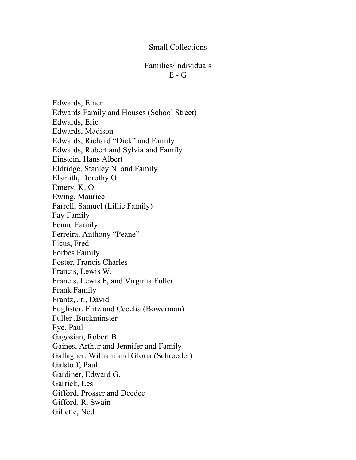## Small Collections

## Families/Individuals  $E - G$

Edwards, Einer Edwards Family and Houses (School Street) Edwards, Eric Edwards, Madison Edwards, Richard "Dick" and Family Edwards, Robert and Sylvia and Family Einstein, Hans Albert Eldridge, Stanley N. and Family Elsmith, Dorothy O. Emery, K. O. Ewing, Maurice Farrell, Samuel (Lillie Family) Fay Family Fenno Family Ferreira, Anthony "Peane" Ficus, Fred Forbes Family Foster, Francis Charles Francis, Lewis W. Francis, Lewis F,.and Virginia Fuller Frank Family Frantz, Jr., David Fuglister, Fritz and Cecelia (Bowerman) Fuller ,Buckminster Fye, Paul Gagosian, Robert B. Gaines, Arthur and Jennifer and Family Gallagher, William and Gloria (Schroeder) Galstoff, Paul Gardiner, Edward G. Garrick, Les Gifford, Prosser and Deedee Gifford. R. Swain Gillette, Ned